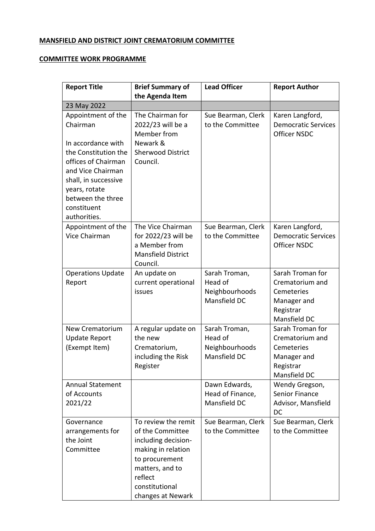## **MANSFIELD AND DISTRICT JOINT CREMATORIUM COMMITTEE**

## **COMMITTEE WORK PROGRAMME**

| <b>Report Title</b>                                                                                                                                                                                                   | <b>Brief Summary of</b><br>the Agenda Item                                                                                                                                  | <b>Lead Officer</b>                                        | <b>Report Author</b>                                                                          |
|-----------------------------------------------------------------------------------------------------------------------------------------------------------------------------------------------------------------------|-----------------------------------------------------------------------------------------------------------------------------------------------------------------------------|------------------------------------------------------------|-----------------------------------------------------------------------------------------------|
| 23 May 2022                                                                                                                                                                                                           |                                                                                                                                                                             |                                                            |                                                                                               |
| Appointment of the<br>Chairman<br>In accordance with<br>the Constitution the<br>offices of Chairman<br>and Vice Chairman<br>shall, in successive<br>years, rotate<br>between the three<br>constituent<br>authorities. | The Chairman for<br>2022/23 will be a<br>Member from<br>Newark &<br><b>Sherwood District</b><br>Council.                                                                    | Sue Bearman, Clerk<br>to the Committee                     | Karen Langford,<br><b>Democratic Services</b><br><b>Officer NSDC</b>                          |
| Appointment of the<br>Vice Chairman                                                                                                                                                                                   | The Vice Chairman<br>for 2022/23 will be<br>a Member from<br><b>Mansfield District</b><br>Council.                                                                          | Sue Bearman, Clerk<br>to the Committee                     | Karen Langford,<br><b>Democratic Services</b><br><b>Officer NSDC</b>                          |
| <b>Operations Update</b><br>Report                                                                                                                                                                                    | An update on<br>current operational<br>issues                                                                                                                               | Sarah Troman,<br>Head of<br>Neighbourhoods<br>Mansfield DC | Sarah Troman for<br>Crematorium and<br>Cemeteries<br>Manager and<br>Registrar<br>Mansfield DC |
| <b>New Crematorium</b><br><b>Update Report</b><br>(Exempt Item)                                                                                                                                                       | A regular update on<br>the new<br>Crematorium,<br>including the Risk<br>Register                                                                                            | Sarah Troman,<br>Head of<br>Neighbourhoods<br>Mansfield DC | Sarah Troman for<br>Crematorium and<br>Cemeteries<br>Manager and<br>Registrar<br>Mansfield DC |
| <b>Annual Statement</b><br>of Accounts<br>2021/22                                                                                                                                                                     |                                                                                                                                                                             | Dawn Edwards,<br>Head of Finance,<br>Mansfield DC          | Wendy Gregson,<br><b>Senior Finance</b><br>Advisor, Mansfield<br>DC                           |
| Governance<br>arrangements for<br>the Joint<br>Committee                                                                                                                                                              | To review the remit<br>of the Committee<br>including decision-<br>making in relation<br>to procurement<br>matters, and to<br>reflect<br>constitutional<br>changes at Newark | Sue Bearman, Clerk<br>to the Committee                     | Sue Bearman, Clerk<br>to the Committee                                                        |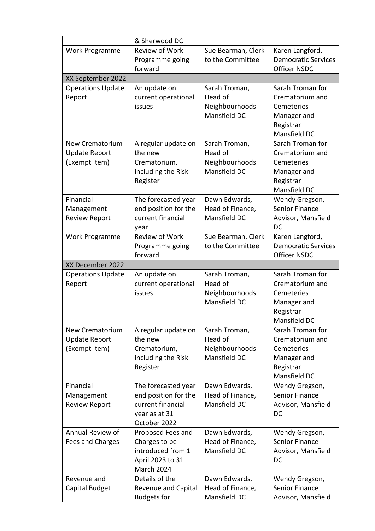|                                       | & Sherwood DC                             |                                  |                                     |
|---------------------------------------|-------------------------------------------|----------------------------------|-------------------------------------|
| Work Programme                        | Review of Work                            | Sue Bearman, Clerk               | Karen Langford,                     |
|                                       | Programme going                           | to the Committee                 | <b>Democratic Services</b>          |
|                                       | forward                                   |                                  | <b>Officer NSDC</b>                 |
| XX September 2022                     |                                           |                                  |                                     |
| <b>Operations Update</b>              | An update on                              | Sarah Troman,                    | Sarah Troman for                    |
| Report                                | current operational                       | Head of                          | Crematorium and                     |
|                                       | issues                                    | Neighbourhoods                   | Cemeteries                          |
|                                       |                                           | Mansfield DC                     | Manager and                         |
|                                       |                                           |                                  | Registrar                           |
|                                       |                                           |                                  | Mansfield DC                        |
| New Crematorium                       | A regular update on<br>the new            | Sarah Troman,                    | Sarah Troman for                    |
| <b>Update Report</b><br>(Exempt Item) | Crematorium,                              | Head of<br>Neighbourhoods        | Crematorium and<br>Cemeteries       |
|                                       | including the Risk                        | Mansfield DC                     | Manager and                         |
|                                       | Register                                  |                                  | Registrar                           |
|                                       |                                           |                                  | Mansfield DC                        |
| Financial                             | The forecasted year                       | Dawn Edwards,                    | Wendy Gregson,                      |
| Management                            | end position for the                      | Head of Finance,                 | <b>Senior Finance</b>               |
| <b>Review Report</b>                  | current financial                         | Mansfield DC                     | Advisor, Mansfield                  |
|                                       | year                                      |                                  | <b>DC</b>                           |
| Work Programme                        | <b>Review of Work</b>                     | Sue Bearman, Clerk               | Karen Langford,                     |
|                                       | Programme going                           | to the Committee                 | <b>Democratic Services</b>          |
|                                       | forward                                   |                                  | <b>Officer NSDC</b>                 |
| XX December 2022                      |                                           |                                  |                                     |
| <b>Operations Update</b>              | An update on                              | Sarah Troman,<br>Head of         | Sarah Troman for<br>Crematorium and |
| Report                                | current operational<br>issues             | Neighbourhoods                   | Cemeteries                          |
|                                       |                                           | Mansfield DC                     | Manager and                         |
|                                       |                                           |                                  | Registrar                           |
|                                       |                                           |                                  | Mansfield DC                        |
| New Crematorium                       | A regular update on                       | Sarah Troman,                    | Sarah Troman for                    |
| <b>Update Report</b>                  | the new                                   | Head of                          | Crematorium and                     |
| (Exempt Item)                         | Crematorium,                              | Neighbourhoods                   | Cemeteries                          |
|                                       | including the Risk                        | Mansfield DC                     | Manager and                         |
|                                       | Register                                  |                                  | Registrar                           |
|                                       |                                           |                                  | Mansfield DC                        |
| Financial                             | The forecasted year                       | Dawn Edwards,                    | Wendy Gregson,                      |
| Management                            | end position for the<br>current financial | Head of Finance,<br>Mansfield DC | <b>Senior Finance</b>               |
| <b>Review Report</b>                  | year as at 31                             |                                  | Advisor, Mansfield<br>DC            |
|                                       | October 2022                              |                                  |                                     |
| Annual Review of                      | Proposed Fees and                         | Dawn Edwards,                    | Wendy Gregson,                      |
| Fees and Charges                      | Charges to be                             | Head of Finance,                 | Senior Finance                      |
|                                       | introduced from 1                         | Mansfield DC                     | Advisor, Mansfield                  |
|                                       | April 2023 to 31                          |                                  | DC                                  |
|                                       | March 2024                                |                                  |                                     |
| Revenue and                           | Details of the                            | Dawn Edwards,                    | Wendy Gregson,                      |
| Capital Budget                        | Revenue and Capital                       | Head of Finance,                 | <b>Senior Finance</b>               |
|                                       | <b>Budgets for</b>                        | Mansfield DC                     | Advisor, Mansfield                  |